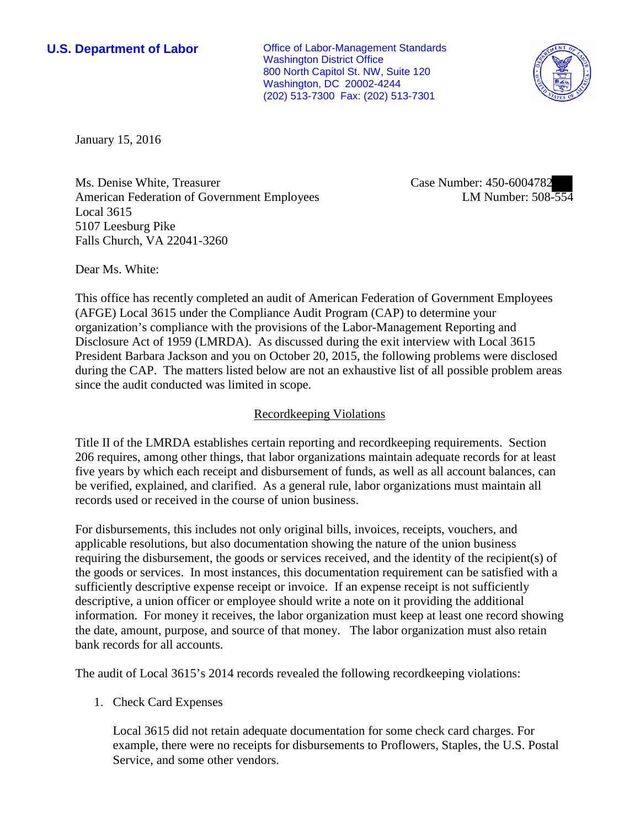**U.S. Department of Labor Conservative Conservative Conservative Conservative Conservative Conservative Conservative Conservative Conservative Conservative Conservative Conservative Conservative Conservative Conservative** Washington District Office 800 North Capitol St. NW, Suite 120 Washington, DC 20002-4244 (202) 513-7300 Fax: (202) 513-7301



January 15, 2016

Ms. Denise White, Treasurer American Federation of Government Employees Local 3615 5107 Leesburg Pike Falls Church, VA 22041-3260

Case Number: 450-6004782 LM Number: 508-554

Dear Ms. White:

This office has recently completed an audit of American Federation of Government Employees (AFGE) Local 3615 under the Compliance Audit Program (CAP) to determine your organization's compliance with the provisions of the Labor-Management Reporting and Disclosure Act of 1959 (LMRDA). As discussed during the exit interview with Local 3615 President Barbara Jackson and you on October 20, 2015, the following problems were disclosed during the CAP. The matters listed below are not an exhaustive list of all possible problem areas since the audit conducted was limited in scope.

## Recordkeeping Violations

Title II of the LMRDA establishes certain reporting and recordkeeping requirements. Section 206 requires, among other things, that labor organizations maintain adequate records for at least five years by which each receipt and disbursement of funds, as well as all account balances, can be verified, explained, and clarified. As a general rule, labor organizations must maintain all records used or received in the course of union business.

For disbursements, this includes not only original bills, invoices, receipts, vouchers, and applicable resolutions, but also documentation showing the nature of the union business requiring the disbursement, the goods or services received, and the identity of the recipient(s) of the goods or services. In most instances, this documentation requirement can be satisfied with a sufficiently descriptive expense receipt or invoice. If an expense receipt is not sufficiently descriptive, a union officer or employee should write a note on it providing the additional information. For money it receives, the labor organization must keep at least one record showing the date, amount, purpose, and source of that money. The labor organization must also retain bank records for all accounts.

The audit of Local 3615's 2014 records revealed the following recordkeeping violations:

## 1. Check Card Expenses

Local 3615 did not retain adequate documentation for some check card charges. For example, there were no receipts for disbursements to Proflowers, Staples, the U.S. Postal Service, and some other vendors.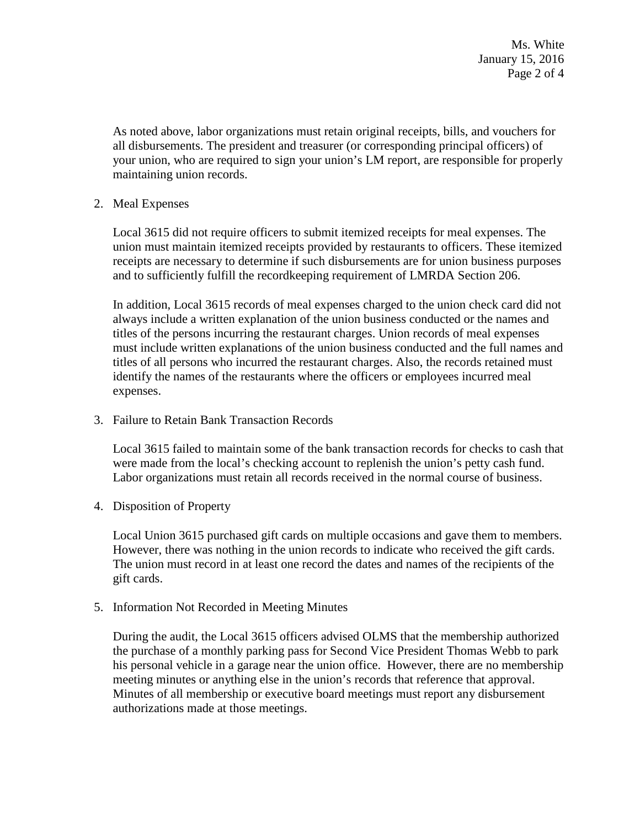As noted above, labor organizations must retain original receipts, bills, and vouchers for all disbursements. The president and treasurer (or corresponding principal officers) of your union, who are required to sign your union's LM report, are responsible for properly maintaining union records.

2. Meal Expenses

Local 3615 did not require officers to submit itemized receipts for meal expenses. The union must maintain itemized receipts provided by restaurants to officers. These itemized receipts are necessary to determine if such disbursements are for union business purposes and to sufficiently fulfill the recordkeeping requirement of LMRDA Section 206.

In addition, Local 3615 records of meal expenses charged to the union check card did not always include a written explanation of the union business conducted or the names and titles of the persons incurring the restaurant charges. Union records of meal expenses must include written explanations of the union business conducted and the full names and titles of all persons who incurred the restaurant charges. Also, the records retained must identify the names of the restaurants where the officers or employees incurred meal expenses.

3. Failure to Retain Bank Transaction Records

Local 3615 failed to maintain some of the bank transaction records for checks to cash that were made from the local's checking account to replenish the union's petty cash fund. Labor organizations must retain all records received in the normal course of business.

4. Disposition of Property

Local Union 3615 purchased gift cards on multiple occasions and gave them to members. However, there was nothing in the union records to indicate who received the gift cards. The union must record in at least one record the dates and names of the recipients of the gift cards.

5. Information Not Recorded in Meeting Minutes

During the audit, the Local 3615 officers advised OLMS that the membership authorized the purchase of a monthly parking pass for Second Vice President Thomas Webb to park his personal vehicle in a garage near the union office. However, there are no membership meeting minutes or anything else in the union's records that reference that approval. Minutes of all membership or executive board meetings must report any disbursement authorizations made at those meetings.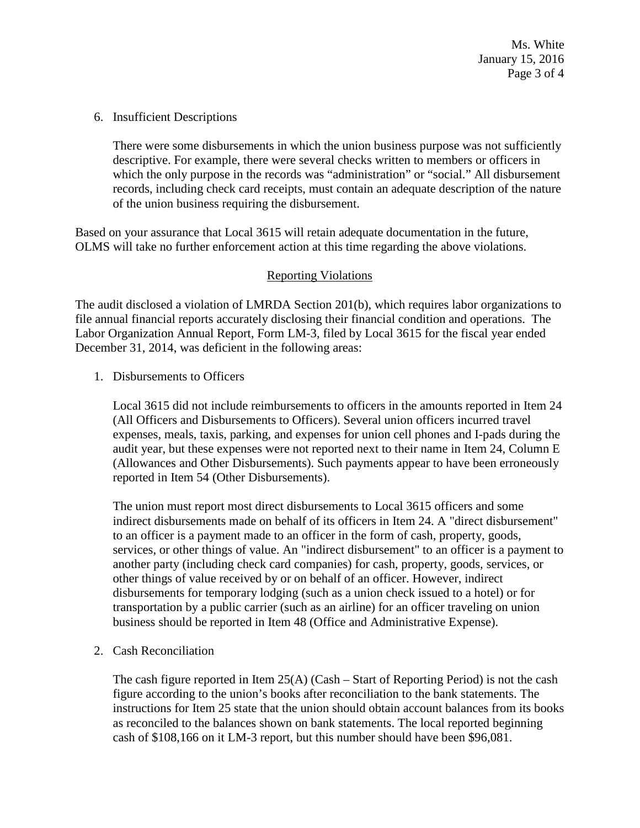Ms. White January 15, 2016 Page 3 of 4

6. Insufficient Descriptions

There were some disbursements in which the union business purpose was not sufficiently descriptive. For example, there were several checks written to members or officers in which the only purpose in the records was "administration" or "social." All disbursement records, including check card receipts, must contain an adequate description of the nature of the union business requiring the disbursement.

Based on your assurance that Local 3615 will retain adequate documentation in the future, OLMS will take no further enforcement action at this time regarding the above violations.

## Reporting Violations

The audit disclosed a violation of LMRDA Section 201(b), which requires labor organizations to file annual financial reports accurately disclosing their financial condition and operations. The Labor Organization Annual Report, Form LM-3, filed by Local 3615 for the fiscal year ended December 31, 2014, was deficient in the following areas:

1. Disbursements to Officers

Local 3615 did not include reimbursements to officers in the amounts reported in Item 24 (All Officers and Disbursements to Officers). Several union officers incurred travel expenses, meals, taxis, parking, and expenses for union cell phones and I-pads during the audit year, but these expenses were not reported next to their name in Item 24, Column E (Allowances and Other Disbursements). Such payments appear to have been erroneously reported in Item 54 (Other Disbursements).

The union must report most direct disbursements to Local 3615 officers and some indirect disbursements made on behalf of its officers in Item 24. A "direct disbursement" to an officer is a payment made to an officer in the form of cash, property, goods, services, or other things of value. An "indirect disbursement" to an officer is a payment to another party (including check card companies) for cash, property, goods, services, or other things of value received by or on behalf of an officer. However, indirect disbursements for temporary lodging (such as a union check issued to a hotel) or for transportation by a public carrier (such as an airline) for an officer traveling on union business should be reported in Item 48 (Office and Administrative Expense).

2. Cash Reconciliation

The cash figure reported in Item  $25(A)$  (Cash – Start of Reporting Period) is not the cash figure according to the union's books after reconciliation to the bank statements. The instructions for Item 25 state that the union should obtain account balances from its books as reconciled to the balances shown on bank statements. The local reported beginning cash of \$108,166 on it LM-3 report, but this number should have been \$96,081.